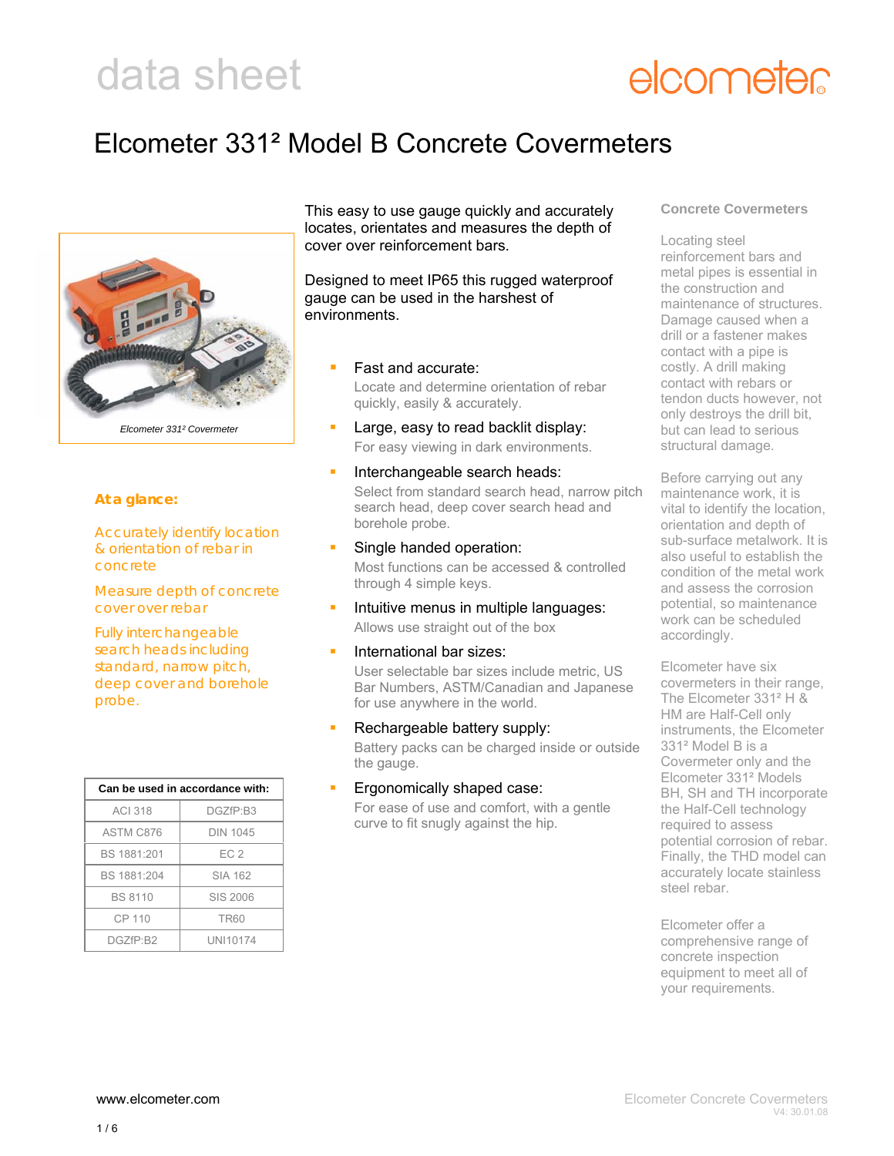### elcometer

### Elcometer 331² Model B Concrete Covermeters



#### **At a glance:**

Accurately identify location & orientation of rebar in concrete

Measure depth of concrete cover over rebar

Fully interchangeable search heads including standard, narrow pitch, deep cover and borehole probe.

| Can be used in accordance with: |                 |  |
|---------------------------------|-----------------|--|
| <b>ACI 318</b>                  | DGZfP:B3        |  |
| ASTM C876                       | DIN 1045        |  |
| BS 1881:201                     | FC <sub>2</sub> |  |
| BS 1881:204                     | SIA 162         |  |
| <b>BS 8110</b>                  | SIS 2006        |  |
| CP 110                          | <b>TR60</b>     |  |
| DGZfP:B2                        | UNI10174        |  |

This easy to use gauge quickly and accurately locates, orientates and measures the depth of cover over reinforcement bars.

Designed to meet IP65 this rugged waterproof gauge can be used in the harshest of environments.

- Fast and accurate: Locate and determine orientation of rebar quickly, easily & accurately.
- Large, easy to read backlit display: For easy viewing in dark environments.
- Interchangeable search heads: Select from standard search head, narrow pitch search head, deep cover search head and borehole probe.
- Single handed operation: Most functions can be accessed & controlled through 4 simple keys.
- Intuitive menus in multiple languages: Allows use straight out of the box
- International bar sizes:

User selectable bar sizes include metric, US Bar Numbers, ASTM/Canadian and Japanese for use anywhere in the world.

- Rechargeable battery supply: Battery packs can be charged inside or outside the gauge.
- Ergonomically shaped case:
	- For ease of use and comfort, with a gentle curve to fit snugly against the hip.

#### **Concrete Covermeters**

Locating steel reinforcement bars and metal pipes is essential in the construction and maintenance of structures. Damage caused when a drill or a fastener makes contact with a pipe is costly. A drill making contact with rebars or tendon ducts however, not only destroys the drill bit, but can lead to serious structural damage.

Before carrying out any maintenance work, it is vital to identify the location, orientation and depth of sub-surface metalwork. It is also useful to establish the condition of the metal work and assess the corrosion potential, so maintenance work can be scheduled accordingly.

Elcometer have six covermeters in their range, The Elcometer 331² H & HM are Half-Cell only instruments, the Elcometer 331² Model B is a Covermeter only and the Elcometer 331² Models BH, SH and TH incorporate the Half-Cell technology required to assess potential corrosion of rebar. Finally, the THD model can accurately locate stainless steel rebar.

Elcometer offer a comprehensive range of concrete inspection equipment to meet all of your requirements.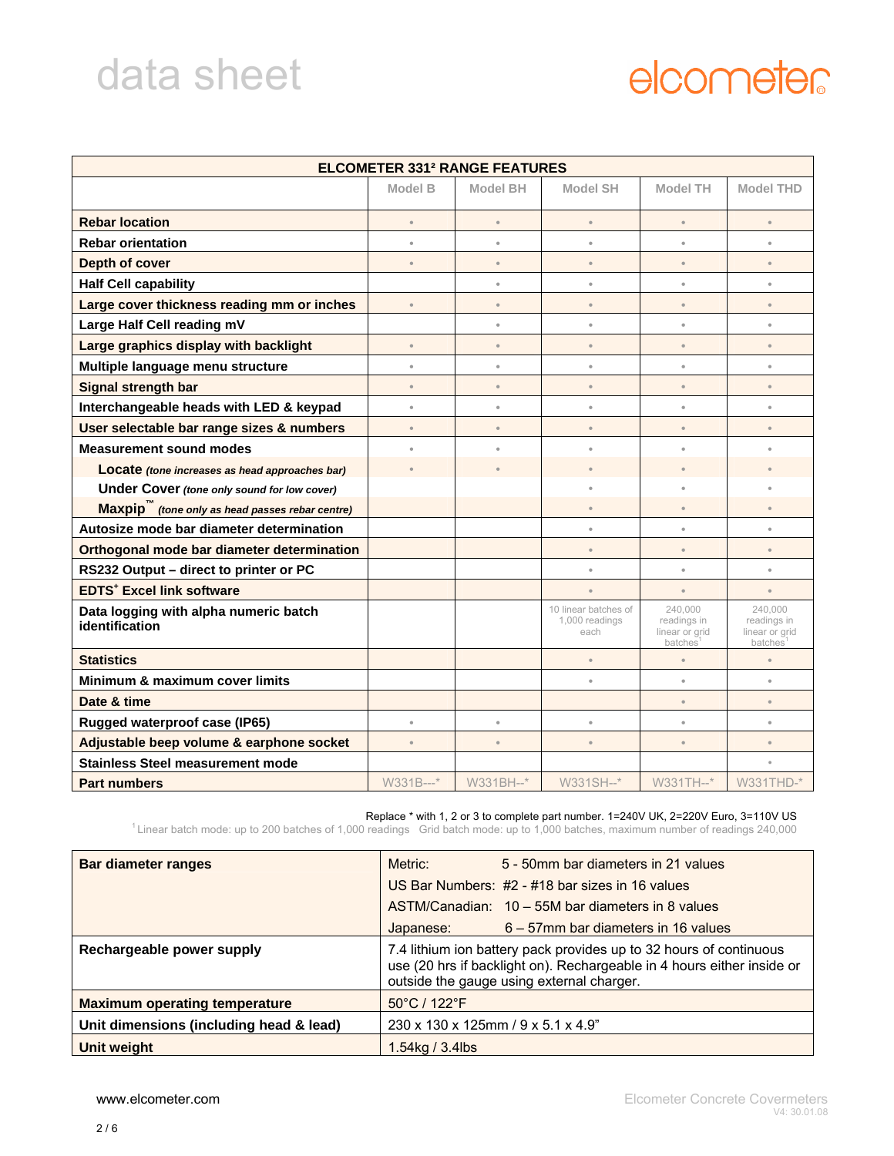### elcometer

| <b>ELCOMETER 331<sup>2</sup> RANGE FEATURES</b>             |                      |           |                                                |                                                            |                                                     |
|-------------------------------------------------------------|----------------------|-----------|------------------------------------------------|------------------------------------------------------------|-----------------------------------------------------|
|                                                             | Model B              | Model BH  | <b>Model SH</b>                                | Model TH                                                   | <b>Model THD</b>                                    |
| <b>Rebar location</b>                                       | $\bullet$            | $\bullet$ | $\bullet$                                      |                                                            | $\bullet$                                           |
| <b>Rebar orientation</b>                                    | $\circ$              | $\bullet$ | $\bullet$                                      | $\circ$                                                    | $\bullet$                                           |
| Depth of cover                                              | $\circ$              | $\bullet$ | $\bullet$                                      | $\bullet$                                                  | $\bullet$                                           |
| <b>Half Cell capability</b>                                 |                      | $\bullet$ | $\bullet$                                      | $\ddot{\phantom{a}}$                                       | $\bullet$                                           |
| Large cover thickness reading mm or inches                  | $\circ$              | $\bullet$ | $\bullet$                                      | $\bullet$                                                  | $\bullet$                                           |
| Large Half Cell reading mV                                  |                      | $\bullet$ | $\bullet$                                      | $\ddot{\phantom{a}}$                                       | $\bullet$                                           |
| Large graphics display with backlight                       | $\circ$              | $\bullet$ | $\circ$                                        | $\circ$                                                    | $\circ$                                             |
| Multiple language menu structure                            | $\bullet$            | $\bullet$ | $\bullet$                                      | $\circ$                                                    | $\bullet$                                           |
| Signal strength bar                                         | $\bullet$            | $\bullet$ | $\bullet$                                      | $\circ$                                                    | $\bullet$                                           |
| Interchangeable heads with LED & keypad                     | $\circ$              | $\bullet$ | $\bullet$                                      | $\bullet$                                                  | $\circ$                                             |
| User selectable bar range sizes & numbers                   | $\circ$              | $\bullet$ | $\bullet$                                      | $\bullet$                                                  | $\bullet$                                           |
| <b>Measurement sound modes</b>                              | $\ddot{\phantom{a}}$ | $\bullet$ | $\ddot{\phantom{a}}$                           |                                                            |                                                     |
| Locate (tone increases as head approaches bar)              |                      |           |                                                |                                                            |                                                     |
| Under Cover (tone only sound for low cover)                 |                      |           | ٠                                              |                                                            |                                                     |
| Maxpip <sup>"</sup> (tone only as head passes rebar centre) |                      |           | $\bullet$                                      |                                                            | $\bullet$                                           |
| Autosize mode bar diameter determination                    |                      |           | $\bullet$                                      | $\bullet$                                                  | $\bullet$                                           |
| Orthogonal mode bar diameter determination                  |                      |           | $\bullet$                                      | $\bullet$                                                  | $\bullet$                                           |
| RS232 Output - direct to printer or PC                      |                      |           | $\bullet$                                      | $\bullet$                                                  | $\bullet$                                           |
| <b>EDTS<sup>+</sup></b> Excel link software                 |                      |           | $\bullet$                                      | $\circ$                                                    | $\bullet$                                           |
| Data logging with alpha numeric batch<br>identification     |                      |           | 10 linear batches of<br>1,000 readings<br>each | 240.000<br>readings in<br>linear or grid<br><b>batches</b> | 240.000<br>readings in<br>linear or grid<br>batches |
| <b>Statistics</b>                                           |                      |           | $\bullet$                                      | $\bullet$                                                  | $\bullet$                                           |
| Minimum & maximum cover limits                              |                      |           | $\bullet$                                      | $\bullet$                                                  | $\bullet$                                           |
| Date & time                                                 |                      |           |                                                | $\circ$                                                    | $\circ$                                             |
| Rugged waterproof case (IP65)                               | $\circ$              | $\bullet$ | $\circ$                                        | $\circ$                                                    | $\bullet$                                           |
| Adjustable beep volume & earphone socket                    | $\circ$              | $\bullet$ | $\bullet$                                      | $\circ$                                                    | $\bullet$                                           |
| <b>Stainless Steel measurement mode</b>                     |                      |           |                                                |                                                            | $\ddot{\phantom{a}}$                                |
| <b>Part numbers</b>                                         | W331B---*            | W331BH--* | W331SH--*                                      | W331TH--*                                                  | W331THD-*                                           |

Replace \* with 1, 2 or 3 to complete part number. 1=240V UK, 2=220V Euro, 3=110V US<br><sup>1</sup> Linear batch mode: up to 200 batches of 1,000 readings Grid batch mode: up to 1,000 batches, maximum number of readings 240,000

| <b>Bar diameter ranges</b>              | Metric:                                                                                                                                                                                   | 5 - 50mm bar diameters in 21 values               |  |
|-----------------------------------------|-------------------------------------------------------------------------------------------------------------------------------------------------------------------------------------------|---------------------------------------------------|--|
|                                         |                                                                                                                                                                                           | US Bar Numbers: #2 - #18 bar sizes in 16 values   |  |
|                                         |                                                                                                                                                                                           | ASTM/Canadian: 10 – 55M bar diameters in 8 values |  |
|                                         | Japanese:                                                                                                                                                                                 | 6 – 57mm bar diameters in 16 values               |  |
| Rechargeable power supply               | 7.4 lithium ion battery pack provides up to 32 hours of continuous<br>use (20 hrs if backlight on). Rechargeable in 4 hours either inside or<br>outside the gauge using external charger. |                                                   |  |
| <b>Maximum operating temperature</b>    | $50^{\circ}$ C / 122 $^{\circ}$ F                                                                                                                                                         |                                                   |  |
| Unit dimensions (including head & lead) | 230 x 130 x 125mm / 9 x 5.1 x 4.9"                                                                                                                                                        |                                                   |  |
| Unit weight                             | 1.54kg / 3.4lbs                                                                                                                                                                           |                                                   |  |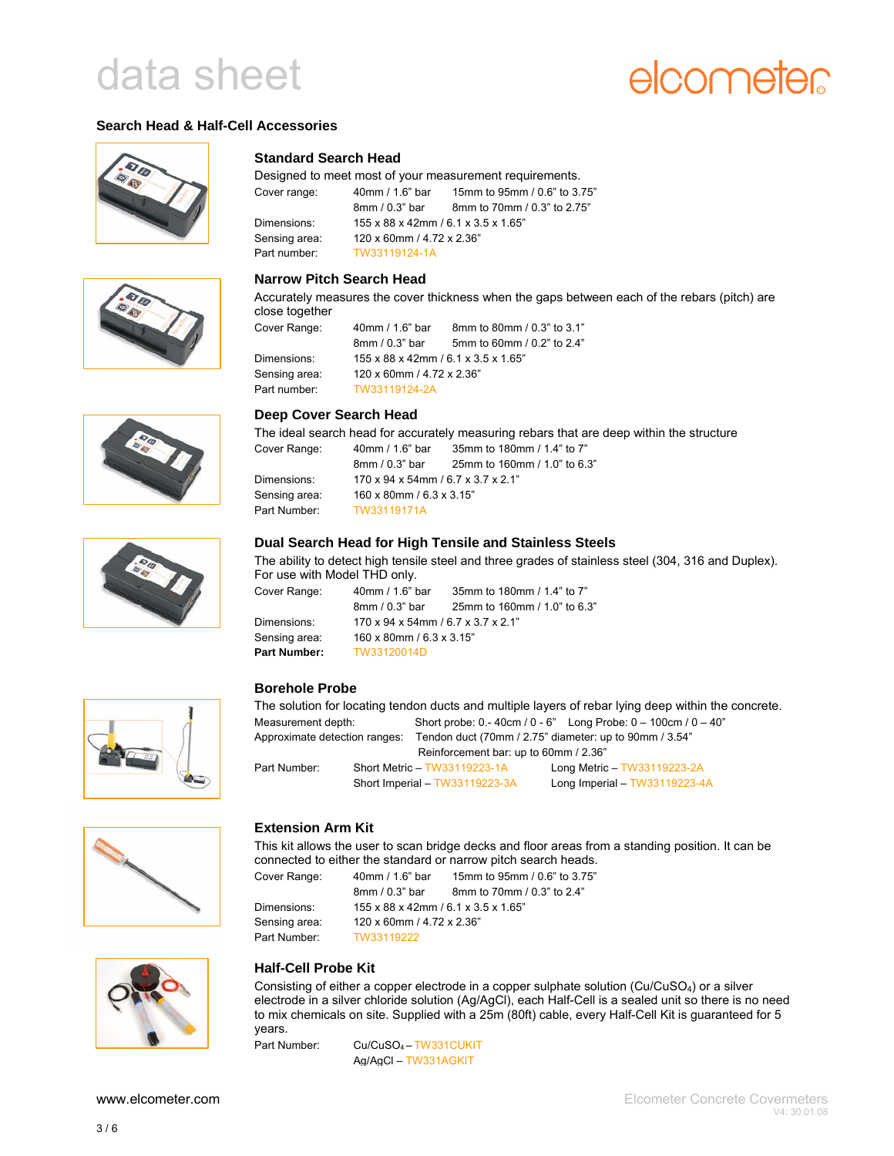### elcometer

#### **Search Head & Half-Cell Accessories**













#### **Standard Search Head**

Designed to meet most of your measurement requirements. Cover range: 40mm / 1.6" bar 15mm to 95mm / 0.6" to 3.75" 8mm / 0.3" bar 8mm to 70mm / 0.3" to 2.75" Dimensions: 155 x 88 x 42mm / 6.1 x 3.5 x 1.65" Sensing area: 120 x 60mm / 4.72 x 2.36" Part number: TW33119124-1A

#### **Narrow Pitch Search Head**

Accurately measures the cover thickness when the gaps between each of the rebars (pitch) are close together

| Cover Range:  | 40mm / 1.6" bar                     | 8mm to 80mm / 0.3" to 3.1" |
|---------------|-------------------------------------|----------------------------|
|               | 8mm / 0.3" bar                      | 5mm to 60mm / 0.2" to 2.4" |
| Dimensions:   | 155 x 88 x 42mm / 6.1 x 3.5 x 1.65" |                            |
| Sensing area: | 120 x 60mm / 4.72 x 2.36"           |                            |
| Part number:  | TW33119124-2A                       |                            |

#### **Deep Cover Search Head**

The ideal search head for accurately measuring rebars that are deep within the structure

| 40mm / 1.6" bar                    | 35mm to 180mm / 1.4" to 7"   |
|------------------------------------|------------------------------|
| $8mm/0.3"$ bar                     | 25mm to 160mm / 1.0" to 6.3" |
| 170 x 94 x 54mm / 6.7 x 3.7 x 2.1" |                              |
| 160 x 80mm / 6.3 x 3.15"           |                              |
| TW33119171A                        |                              |
|                                    |                              |

#### **Dual Search Head for High Tensile and Stainless Steels**

The ability to detect high tensile steel and three grades of stainless steel (304, 316 and Duplex). For use with Model THD only.

| Cover Range:  | 40mm / 1.6" bar                                 | 35mm to 180mm / 1.4" to 7"   |
|---------------|-------------------------------------------------|------------------------------|
|               | 8mm / 0.3" bar                                  | 25mm to 160mm / 1.0" to 6.3" |
| Dimensions:   | $170 \times 94 \times 54$ mm / 6.7 x 3.7 x 2.1" |                              |
| Sensing area: | 160 x 80mm / 6.3 x 3.15"                        |                              |
| Part Number:  | TW33120014D                                     |                              |

#### **Borehole Probe**

The solution for locating tendon ducts and multiple layers of rebar lying deep within the concrete. Measurement depth: Short probe: 0.-40cm / 0 - 6" Long Probe: 0 – 100cm / 0 – 40" Approximate detection ranges: Tendon duct (70mm / 2.75" diameter: up to 90mm / 3.54" Reinforcement bar: up to 60mm / 2.36" Part Number: Short Metric – TW33119223-1A Long Metric – TW33119223-2A Short Imperial – TW33119223-3A Long Imperial – TW33119223-4A

#### **Extension Arm Kit**

This kit allows the user to scan bridge decks and floor areas from a standing position. It can be connected to either the standard or narrow pitch search heads.

Cover Range: 40mm / 1.6" bar 15mm to 95mm / 0.6" to 3.75" 8mm / 0.3" bar 8mm to 70mm / 0.3" to 2.4" Dimensions: 155 x 88 x 42mm / 6.1 x 3.5 x 1.65" Sensing area: 120 x 60mm / 4.72 x 2.36" Part Number: TW33119222



#### **Half-Cell Probe Kit**

Consisting of either a copper electrode in a copper sulphate solution (Cu/CuSO4) or a silver electrode in a silver chloride solution (Ag/AgCl), each Half-Cell is a sealed unit so there is no need to mix chemicals on site. Supplied with a 25m (80ft) cable, every Half-Cell Kit is guaranteed for 5 years.

Part Number: Cu/CuSO<sub>4</sub> – TW331CUKIT Ag/AgCl – TW331AGKIT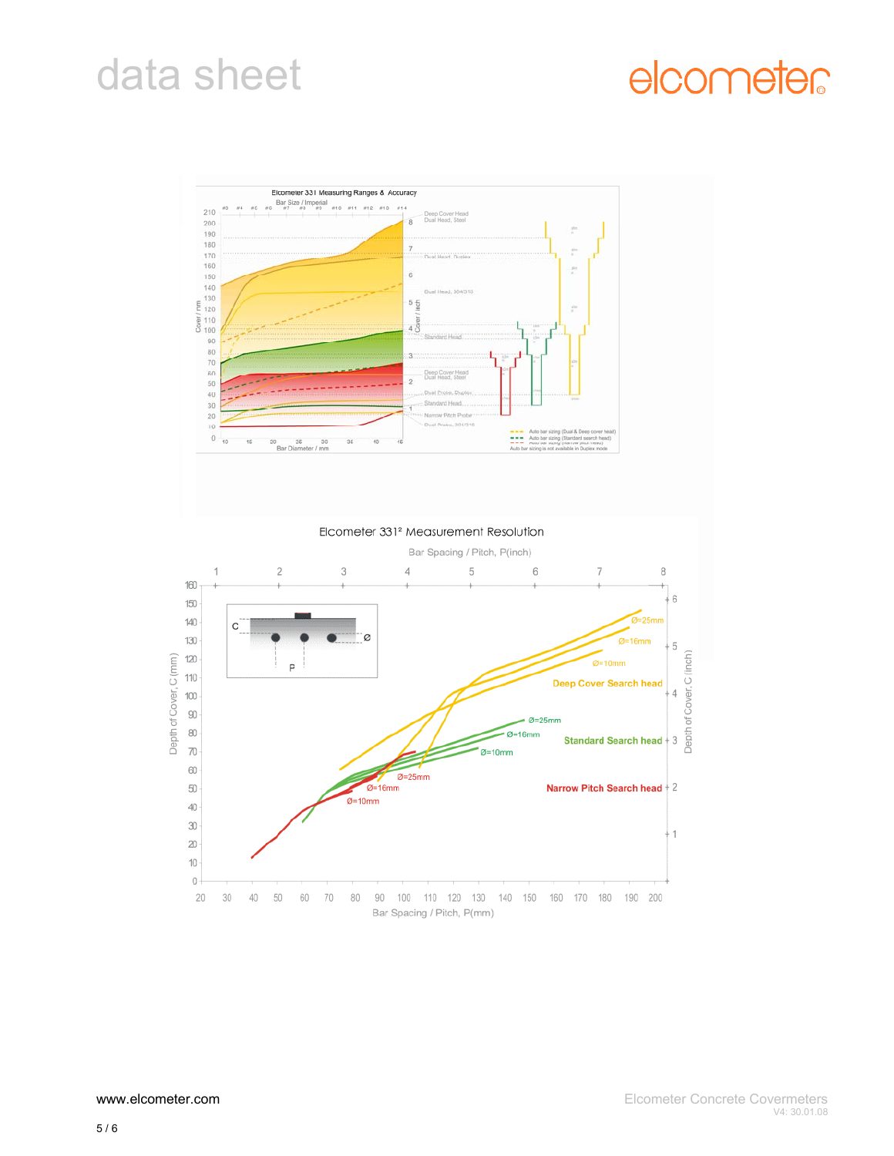### elcometer



Elcometer 331<sup>2</sup> Measurement Resolution